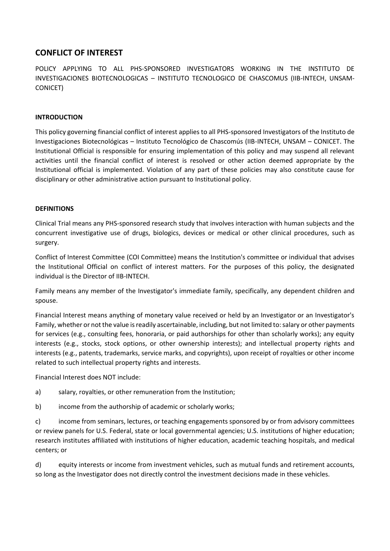# **CONFLICT OF INTEREST**

POLICY APPLYING TO ALL PHS-SPONSORED INVESTIGATORS WORKING IN THE INSTITUTO DE INVESTIGACIONES BIOTECNOLOGICAS – INSTITUTO TECNOLOGICO DE CHASCOMUS (IIB-INTECH, UNSAM-CONICET)

#### **INTRODUCTION**

This policy governing financial conflict of interest applies to all PHS-sponsored Investigators of the Instituto de Investigaciones Biotecnológicas – Instituto Tecnológico de Chascomús (IIB-INTECH, UNSAM – CONICET. The Institutional Official is responsible for ensuring implementation of this policy and may suspend all relevant activities until the financial conflict of interest is resolved or other action deemed appropriate by the Institutional official is implemented. Violation of any part of these policies may also constitute cause for disciplinary or other administrative action pursuant to Institutional policy.

#### **DEFINITIONS**

Clinical Trial means any PHS-sponsored research study that involves interaction with human subjects and the concurrent investigative use of drugs, biologics, devices or medical or other clinical procedures, such as surgery.

Conflict of Interest Committee (COI Committee) means the Institution's committee or individual that advises the Institutional Official on conflict of interest matters. For the purposes of this policy, the designated individual is the Director of IIB-INTECH.

Family means any member of the Investigator's immediate family, specifically, any dependent children and spouse.

Financial Interest means anything of monetary value received or held by an Investigator or an Investigator's Family, whether or not the value is readily ascertainable, including, but not limited to: salary or other payments for services (e.g., consulting fees, honoraria, or paid authorships for other than scholarly works); any equity interests (e.g., stocks, stock options, or other ownership interests); and intellectual property rights and interests (e.g., patents, trademarks, service marks, and copyrights), upon receipt of royalties or other income related to such intellectual property rights and interests.

Financial Interest does NOT include:

- a) salary, royalties, or other remuneration from the Institution;
- b) income from the authorship of academic or scholarly works;

c) income from seminars, lectures, or teaching engagements sponsored by or from advisory committees or review panels for U.S. Federal, state or local governmental agencies; U.S. institutions of higher education; research institutes affiliated with institutions of higher education, academic teaching hospitals, and medical centers; or

d) equity interests or income from investment vehicles, such as mutual funds and retirement accounts, so long as the Investigator does not directly control the investment decisions made in these vehicles.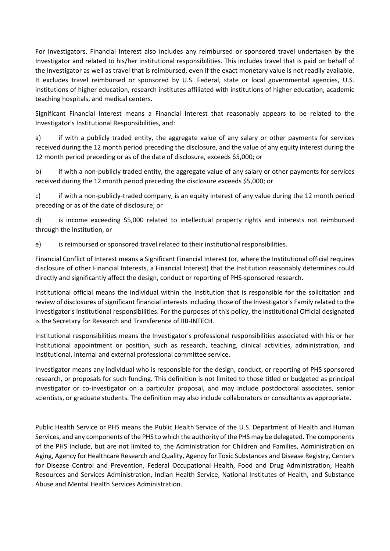For Investigators, Financial Interest also includes any reimbursed or sponsored travel undertaken by the Investigator and related to his/her institutional responsibilities. This includes travel that is paid on behalf of the Investigator as well as travel that is reimbursed, even if the exact monetary value is not readily available. It excludes travel reimbursed or sponsored by U.S. Federal, state or local governmental agencies, U.S. institutions of higher education, research institutes affiliated with institutions of higher education, academic teaching hospitals, and medical centers.

Significant Financial Interest means a Financial Interest that reasonably appears to be related to the Investigator's Institutional Responsibilities, and:

a) if with a publicly traded entity, the aggregate value of any salary or other payments for services received during the 12 month period preceding the disclosure, and the value of any equity interest during the 12 month period preceding or as of the date of disclosure, exceeds \$5,000; or

b) if with a non-publicly traded entity, the aggregate value of any salary or other payments for services received during the 12 month period preceding the disclosure exceeds \$5,000; or

c) if with a non-publicly-traded company, is an equity interest of any value during the 12 month period preceding or as of the date of disclosure; or

d) is income exceeding \$5,000 related to intellectual property rights and interests not reimbursed through the Institution, or

e) is reimbursed or sponsored travel related to their institutional responsibilities.

Financial Conflict of Interest means a Significant Financial Interest (or, where the Institutional official requires disclosure of other Financial Interests, a Financial Interest) that the Institution reasonably determines could directly and significantly affect the design, conduct or reporting of PHS-sponsored research.

Institutional official means the individual within the Institution that is responsible for the solicitation and review of disclosures of significant financial interests including those of the Investigator's Family related to the Investigator's institutional responsibilities. For the purposes of this policy, the Institutional Official designated is the Secretary for Research and Transference of IIB-INTECH.

Institutional responsibilities means the Investigator's professional responsibilities associated with his or her Institutional appointment or position, such as research, teaching, clinical activities, administration, and institutional, internal and external professional committee service.

Investigator means any individual who is responsible for the design, conduct, or reporting of PHS sponsored research, or proposals for such funding. This definition is not limited to those titled or budgeted as principal investigator or co-investigator on a particular proposal, and may include postdoctoral associates, senior scientists, or graduate students. The definition may also include collaborators or consultants as appropriate.

Public Health Service or PHS means the Public Health Service of the U.S. Department of Health and Human Services, and any components of the PHS to which the authority of the PHS may be delegated. The components of the PHS include, but are not limited to, the Administration for Children and Families, Administration on Aging, Agency for Healthcare Research and Quality, Agency for Toxic Substances and Disease Registry, Centers for Disease Control and Prevention, Federal Occupational Health, Food and Drug Administration, Health Resources and Services Administration, Indian Health Service, National Institutes of Health, and Substance Abuse and Mental Health Services Administration.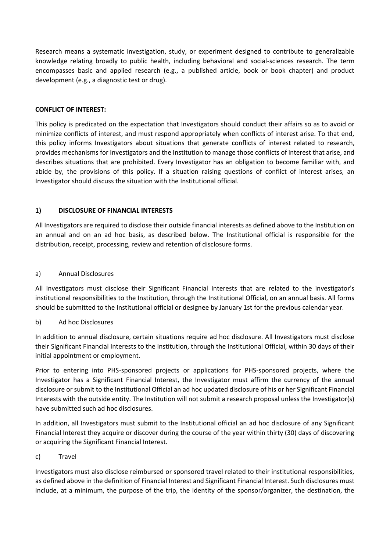Research means a systematic investigation, study, or experiment designed to contribute to generalizable knowledge relating broadly to public health, including behavioral and social-sciences research. The term encompasses basic and applied research (e.g., a published article, book or book chapter) and product development (e.g., a diagnostic test or drug).

### **CONFLICT OF INTEREST:**

This policy is predicated on the expectation that Investigators should conduct their affairs so as to avoid or minimize conflicts of interest, and must respond appropriately when conflicts of interest arise. To that end, this policy informs Investigators about situations that generate conflicts of interest related to research, provides mechanisms for Investigators and the Institution to manage those conflicts of interest that arise, and describes situations that are prohibited. Every Investigator has an obligation to become familiar with, and abide by, the provisions of this policy. If a situation raising questions of conflict of interest arises, an Investigator should discuss the situation with the Institutional official.

### **1) DISCLOSURE OF FINANCIAL INTERESTS**

All Investigators are required to disclose their outside financial interests as defined above to the Institution on an annual and on an ad hoc basis, as described below. The Institutional official is responsible for the distribution, receipt, processing, review and retention of disclosure forms.

#### a) Annual Disclosures

All Investigators must disclose their Significant Financial Interests that are related to the investigator's institutional responsibilities to the Institution, through the Institutional Official, on an annual basis. All forms should be submitted to the Institutional official or designee by January 1st for the previous calendar year.

#### b) Ad hoc Disclosures

In addition to annual disclosure, certain situations require ad hoc disclosure. All Investigators must disclose their Significant Financial Interests to the Institution, through the Institutional Official, within 30 days of their initial appointment or employment.

Prior to entering into PHS-sponsored projects or applications for PHS-sponsored projects, where the Investigator has a Significant Financial Interest, the Investigator must affirm the currency of the annual disclosure or submit to the Institutional Official an ad hoc updated disclosure of his or her Significant Financial Interests with the outside entity. The Institution will not submit a research proposal unless the Investigator(s) have submitted such ad hoc disclosures.

In addition, all Investigators must submit to the Institutional official an ad hoc disclosure of any Significant Financial Interest they acquire or discover during the course of the year within thirty (30) days of discovering or acquiring the Significant Financial Interest.

#### c) Travel

Investigators must also disclose reimbursed or sponsored travel related to their institutional responsibilities, as defined above in the definition of Financial Interest and Significant Financial Interest. Such disclosures must include, at a minimum, the purpose of the trip, the identity of the sponsor/organizer, the destination, the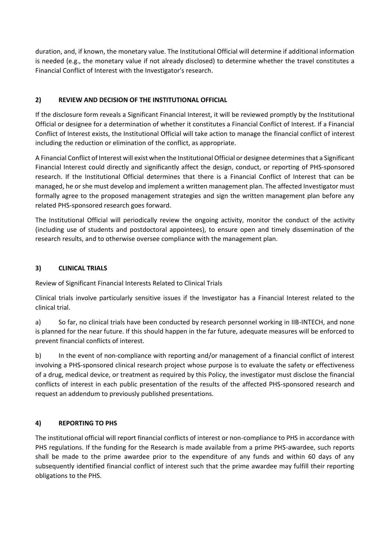duration, and, if known, the monetary value. The Institutional Official will determine if additional information is needed (e.g., the monetary value if not already disclosed) to determine whether the travel constitutes a Financial Conflict of Interest with the Investigator's research.

# **2) REVIEW AND DECISION OF THE INSTITUTIONAL OFFICIAL**

If the disclosure form reveals a Significant Financial Interest, it will be reviewed promptly by the Institutional Official or designee for a determination of whether it constitutes a Financial Conflict of Interest. If a Financial Conflict of Interest exists, the Institutional Official will take action to manage the financial conflict of interest including the reduction or elimination of the conflict, as appropriate.

A Financial Conflict of Interest will exist when the Institutional Official or designee determines that a Significant Financial Interest could directly and significantly affect the design, conduct, or reporting of PHS-sponsored research. If the Institutional Official determines that there is a Financial Conflict of Interest that can be managed, he or she must develop and implement a written management plan. The affected Investigator must formally agree to the proposed management strategies and sign the written management plan before any related PHS-sponsored research goes forward.

The Institutional Official will periodically review the ongoing activity, monitor the conduct of the activity (including use of students and postdoctoral appointees), to ensure open and timely dissemination of the research results, and to otherwise oversee compliance with the management plan.

### **3) CLINICAL TRIALS**

Review of Significant Financial Interests Related to Clinical Trials

Clinical trials involve particularly sensitive issues if the Investigator has a Financial Interest related to the clinical trial.

a) So far, no clinical trials have been conducted by research personnel working in IIB-INTECH, and none is planned for the near future. If this should happen in the far future, adequate measures will be enforced to prevent financial conflicts of interest.

b) In the event of non-compliance with reporting and/or management of a financial conflict of interest involving a PHS-sponsored clinical research project whose purpose is to evaluate the safety or effectiveness of a drug, medical device, or treatment as required by this Policy, the investigator must disclose the financial conflicts of interest in each public presentation of the results of the affected PHS-sponsored research and request an addendum to previously published presentations.

### **4) REPORTING TO PHS**

The institutional official will report financial conflicts of interest or non-compliance to PHS in accordance with PHS regulations. If the funding for the Research is made available from a prime PHS-awardee, such reports shall be made to the prime awardee prior to the expenditure of any funds and within 60 days of any subsequently identified financial conflict of interest such that the prime awardee may fulfill their reporting obligations to the PHS.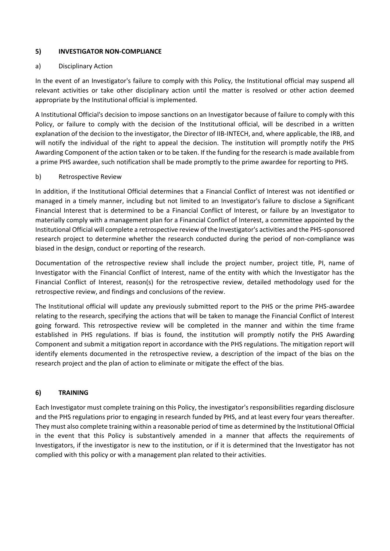#### **5) INVESTIGATOR NON-COMPLIANCE**

### a) Disciplinary Action

In the event of an Investigator's failure to comply with this Policy, the Institutional official may suspend all relevant activities or take other disciplinary action until the matter is resolved or other action deemed appropriate by the Institutional official is implemented.

A Institutional Official's decision to impose sanctions on an Investigator because of failure to comply with this Policy, or failure to comply with the decision of the Institutional official, will be described in a written explanation of the decision to the investigator, the Director of IIB-INTECH, and, where applicable, the IRB, and will notify the individual of the right to appeal the decision. The institution will promptly notify the PHS Awarding Component of the action taken or to be taken. If the funding for the research is made available from a prime PHS awardee, such notification shall be made promptly to the prime awardee for reporting to PHS.

### b) Retrospective Review

In addition, if the Institutional Official determines that a Financial Conflict of Interest was not identified or managed in a timely manner, including but not limited to an Investigator's failure to disclose a Significant Financial Interest that is determined to be a Financial Conflict of Interest, or failure by an Investigator to materially comply with a management plan for a Financial Conflict of Interest, a committee appointed by the Institutional Official will complete a retrospective review of the Investigator's activities and the PHS-sponsored research project to determine whether the research conducted during the period of non-compliance was biased in the design, conduct or reporting of the research.

Documentation of the retrospective review shall include the project number, project title, PI, name of Investigator with the Financial Conflict of Interest, name of the entity with which the Investigator has the Financial Conflict of Interest, reason(s) for the retrospective review, detailed methodology used for the retrospective review, and findings and conclusions of the review.

The Institutional official will update any previously submitted report to the PHS or the prime PHS-awardee relating to the research, specifying the actions that will be taken to manage the Financial Conflict of Interest going forward. This retrospective review will be completed in the manner and within the time frame established in PHS regulations. If bias is found, the institution will promptly notify the PHS Awarding Component and submit a mitigation report in accordance with the PHS regulations. The mitigation report will identify elements documented in the retrospective review, a description of the impact of the bias on the research project and the plan of action to eliminate or mitigate the effect of the bias.

### **6) TRAINING**

Each Investigator must complete training on this Policy, the investigator's responsibilities regarding disclosure and the PHS regulations prior to engaging in research funded by PHS, and at least every four years thereafter. They must also complete training within a reasonable period of time as determined by the Institutional Official in the event that this Policy is substantively amended in a manner that affects the requirements of Investigators, if the investigator is new to the institution, or if it is determined that the Investigator has not complied with this policy or with a management plan related to their activities.